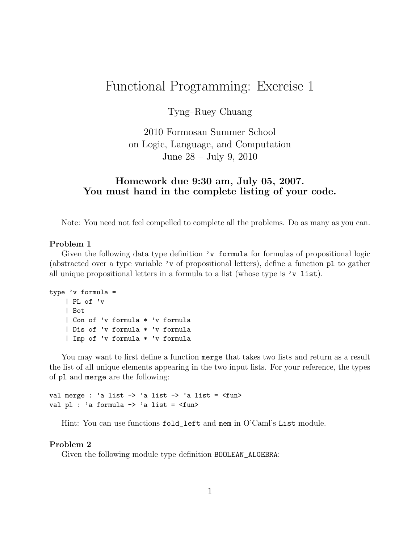## Functional Programming: Exercise 1

Tyng–Ruey Chuang

2010 Formosan Summer School on Logic, Language, and Computation June 28 – July 9, 2010

## Homework due 9:30 am, July 05, 2007. You must hand in the complete listing of your code.

Note: You need not feel compelled to complete all the problems. Do as many as you can.

## Problem 1

Given the following data type definition 'v formula for formulas of propositional logic (abstracted over a type variable 'v of propositional letters), define a function pl to gather all unique propositional letters in a formula to a list (whose type is  $'v$  list).

```
type 'v formula =
    | PL of 'v
    | Bot
    | Con of 'v formula * 'v formula
    | Dis of 'v formula * 'v formula
    | Imp of 'v formula * 'v formula
```
You may want to first define a function merge that takes two lists and return as a result the list of all unique elements appearing in the two input lists. For your reference, the types of pl and merge are the following:

val merge : 'a list -> 'a list -> 'a list = <fun> val pl : 'a formula -> 'a list = <fun>

Hint: You can use functions fold\_left and mem in O'Caml's List module.

## Problem 2

Given the following module type definition BOOLEAN\_ALGEBRA: